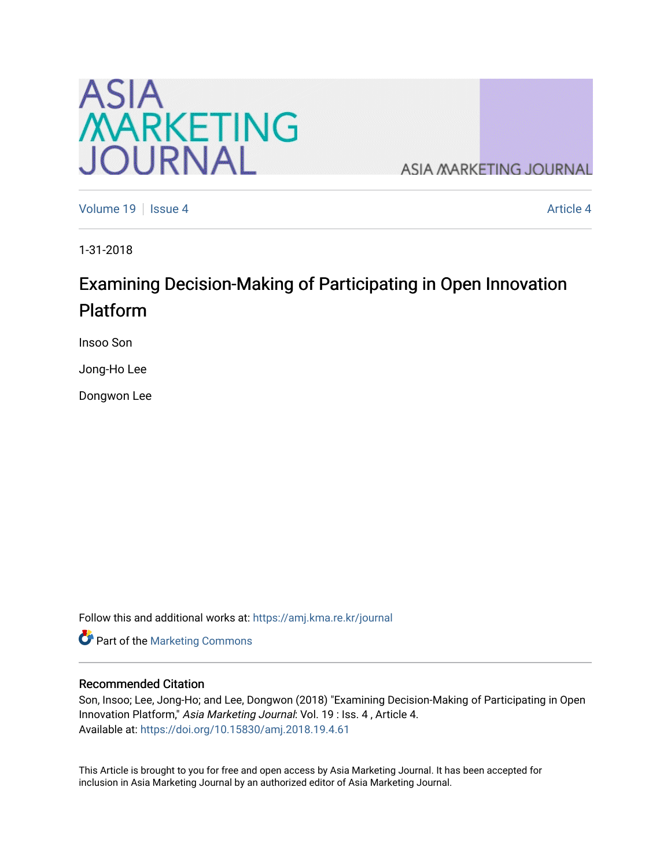

**ASIA MARKETING JOURNAL** 

[Volume 19](https://amj.kma.re.kr/journal/vol19) Setsue 4 [Article 4](https://amj.kma.re.kr/journal/vol19/iss4/4) Article 4 Article 4 Article 4 Article 4 Article 4

1-31-2018

# Examining Decision-Making of Participating in Open Innovation Platform

Insoo Son

Jong-Ho Lee

Dongwon Lee

Follow this and additional works at: [https://amj.kma.re.kr/journal](https://amj.kma.re.kr/journal?utm_source=amj.kma.re.kr%2Fjournal%2Fvol19%2Fiss4%2F4&utm_medium=PDF&utm_campaign=PDFCoverPages) 

Part of the [Marketing Commons](http://network.bepress.com/hgg/discipline/638?utm_source=amj.kma.re.kr%2Fjournal%2Fvol19%2Fiss4%2F4&utm_medium=PDF&utm_campaign=PDFCoverPages)

#### Recommended Citation

Son, Insoo; Lee, Jong-Ho; and Lee, Dongwon (2018) "Examining Decision-Making of Participating in Open Innovation Platform," Asia Marketing Journal: Vol. 19 : Iss. 4 , Article 4. Available at:<https://doi.org/10.15830/amj.2018.19.4.61>

This Article is brought to you for free and open access by Asia Marketing Journal. It has been accepted for inclusion in Asia Marketing Journal by an authorized editor of Asia Marketing Journal.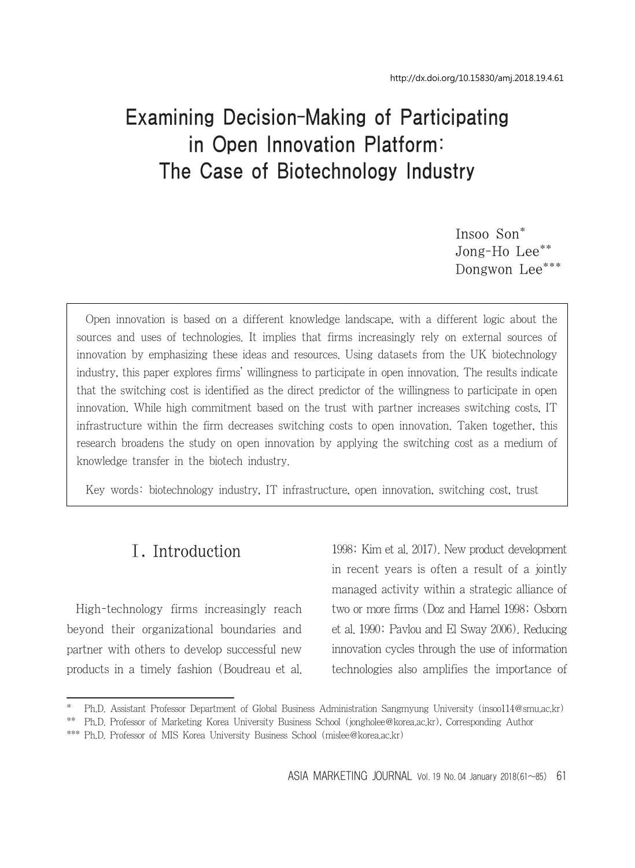# Examining Decision-Making of Participating in Open Innovation Platform: The Case of Biotechnology Industry

Insoo Son\* Jong-Ho Lee\*\* Dongwon Lee\*\*\*

Open innovation is based on a different knowledge landscape, with a different logic about the sources and uses of technologies. It implies that firms increasingly rely on external sources of innovation by emphasizing these ideas and resources. Using datasets from the UK biotechnology industry, this paper explores firms' willingness to participate in open innovation. The results indicate that the switching cost is identified as the direct predictor of the willingness to participate in open innovation. While high commitment based on the trust with partner increases switching costs, IT infrastructure within the firm decreases switching costs to open innovation. Taken together, this research broadens the study on open innovation by applying the switching cost as a medium of knowledge transfer in the biotech industry.

Key words: biotechnology industry, IT infrastructure, open innovation, switching cost, trust

# Ⅰ. Introduction

High-technology firms increasingly reach beyond their organizational boundaries and partner with others to develop successful new products in a timely fashion (Boudreau et al. 1998; Kim et al. 2017). New product development in recent years is often a result of a jointly managed activity within a strategic alliance of two or more firms (Doz and Hamel 1998; Osborn et al. 1990; Pavlou and El Sway 2006). Reducing innovation cycles through the use of information technologies also amplifies the importance of

<sup>\*</sup> Ph.D. Assistant Professor Department of Global Business Administration Sangmyung University (insoo114@smu.ac.kr)

<sup>\*\*</sup> Ph.D. Professor of Marketing Korea University Business School (jongholee@korea.ac.kr), Corresponding Author

<sup>\*\*\*</sup> Ph.D. Professor of MIS Korea University Business School (mislee@korea.ac.kr)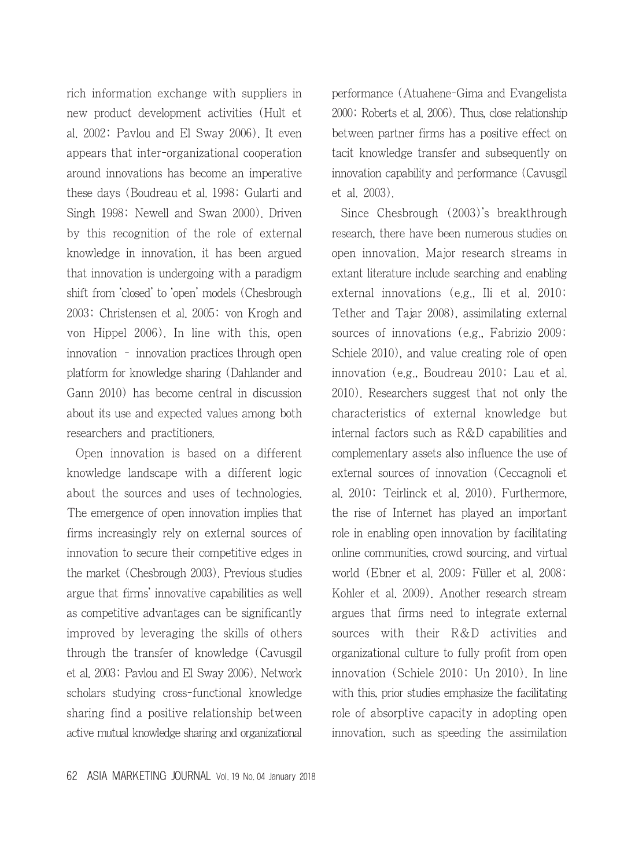rich information exchange with suppliers in new product development activities (Hult et al. 2002; Pavlou and El Sway 2006). It even appears that inter-organizational cooperation around innovations has become an imperative these days (Boudreau et al. 1998; Gularti and Singh 1998; Newell and Swan 2000). Driven by this recognition of the role of external knowledge in innovation, it has been argued that innovation is undergoing with a paradigm shift from 'closed' to 'open' models (Chesbrough 2003; Christensen et al. 2005; von Krogh and von Hippel 2006). In line with this, open innovation – innovation practices through open platform for knowledge sharing (Dahlander and Gann 2010) has become central in discussion about its use and expected values among both researchers and practitioners.

Open innovation is based on a different knowledge landscape with a different logic about the sources and uses of technologies. The emergence of open innovation implies that firms increasingly rely on external sources of innovation to secure their competitive edges in the market (Chesbrough 2003). Previous studies argue that firms' innovative capabilities as well as competitive advantages can be significantly improved by leveraging the skills of others through the transfer of knowledge (Cavusgil et al. 2003; Pavlou and El Sway 2006). Network scholars studying cross-functional knowledge sharing find a positive relationship between active mutual knowledge sharing and organizational performance (Atuahene-Gima and Evangelista 2000; Roberts et al. 2006). Thus, close relationship between partner firms has a positive effect on tacit knowledge transfer and subsequently on innovation capability and performance (Cavusgil et al. 2003).

Since Chesbrough (2003)'s breakthrough research, there have been numerous studies on open innovation. Major research streams in extant literature include searching and enabling external innovations (e.g., Ili et al. 2010; Tether and Tajar 2008), assimilating external sources of innovations (e.g., Fabrizio 2009; Schiele 2010), and value creating role of open innovation (e.g., Boudreau 2010; Lau et al. 2010). Researchers suggest that not only the characteristics of external knowledge but internal factors such as R&D capabilities and complementary assets also influence the use of external sources of innovation (Ceccagnoli et al. 2010; Teirlinck et al. 2010). Furthermore, the rise of Internet has played an important role in enabling open innovation by facilitating online communities, crowd sourcing, and virtual world (Ebner et al. 2009; Füller et al. 2008; Kohler et al. 2009). Another research stream argues that firms need to integrate external sources with their R&D activities and organizational culture to fully profit from open innovation (Schiele 2010; Un 2010). In line with this, prior studies emphasize the facilitating role of absorptive capacity in adopting open innovation, such as speeding the assimilation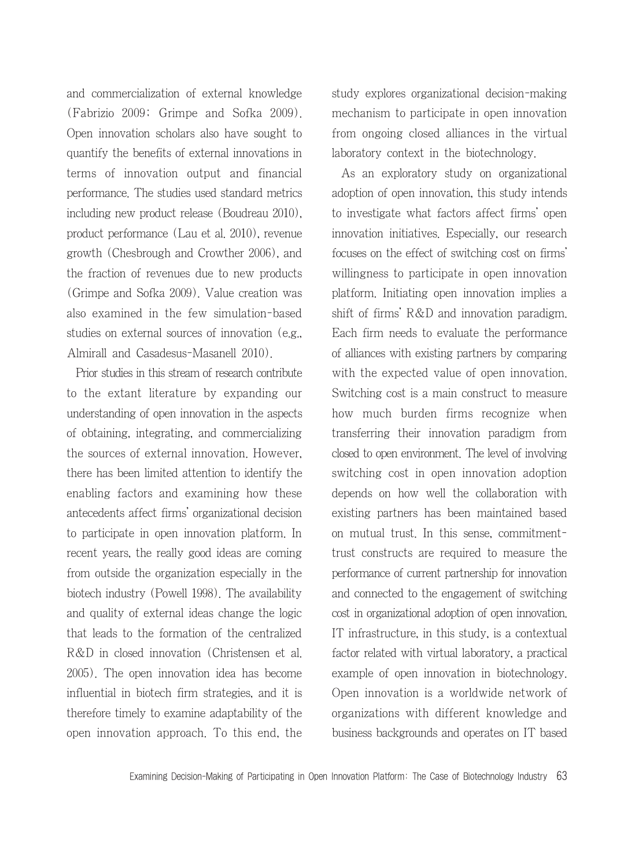and commercialization of external knowledge (Fabrizio 2009; Grimpe and Sofka 2009). Open innovation scholars also have sought to quantify the benefits of external innovations in terms of innovation output and financial performance. The studies used standard metrics including new product release (Boudreau 2010), product performance (Lau et al. 2010), revenue growth (Chesbrough and Crowther 2006), and the fraction of revenues due to new products (Grimpe and Sofka 2009). Value creation was also examined in the few simulation-based studies on external sources of innovation (e.g., Almirall and Casadesus-Masanell 2010).

Prior studies in this stream of research contribute to the extant literature by expanding our understanding of open innovation in the aspects of obtaining, integrating, and commercializing the sources of external innovation. However, there has been limited attention to identify the enabling factors and examining how these antecedents affect firms' organizational decision to participate in open innovation platform. In recent years, the really good ideas are coming from outside the organization especially in the biotech industry (Powell 1998). The availability and quality of external ideas change the logic that leads to the formation of the centralized R&D in closed innovation (Christensen et al. 2005). The open innovation idea has become influential in biotech firm strategies, and it is therefore timely to examine adaptability of the open innovation approach. To this end, the study explores organizational decision-making mechanism to participate in open innovation from ongoing closed alliances in the virtual laboratory context in the biotechnology.

As an exploratory study on organizational adoption of open innovation, this study intends to investigate what factors affect firms' open innovation initiatives. Especially, our research focuses on the effect of switching cost on firms' willingness to participate in open innovation platform. Initiating open innovation implies a shift of firms' R&D and innovation paradigm. Each firm needs to evaluate the performance of alliances with existing partners by comparing with the expected value of open innovation. Switching cost is a main construct to measure how much burden firms recognize when transferring their innovation paradigm from closed to open environment. The level of involving switching cost in open innovation adoption depends on how well the collaboration with existing partners has been maintained based on mutual trust. In this sense, commitmenttrust constructs are required to measure the performance of current partnership for innovation and connected to the engagement of switching cost in organizational adoption of open innovation. IT infrastructure, in this study, is a contextual factor related with virtual laboratory, a practical example of open innovation in biotechnology. Open innovation is a worldwide network of organizations with different knowledge and business backgrounds and operates on IT based

Examining Decision-Making of Participating in Open Innovation Platform: The Case of Biotechnology Industry 63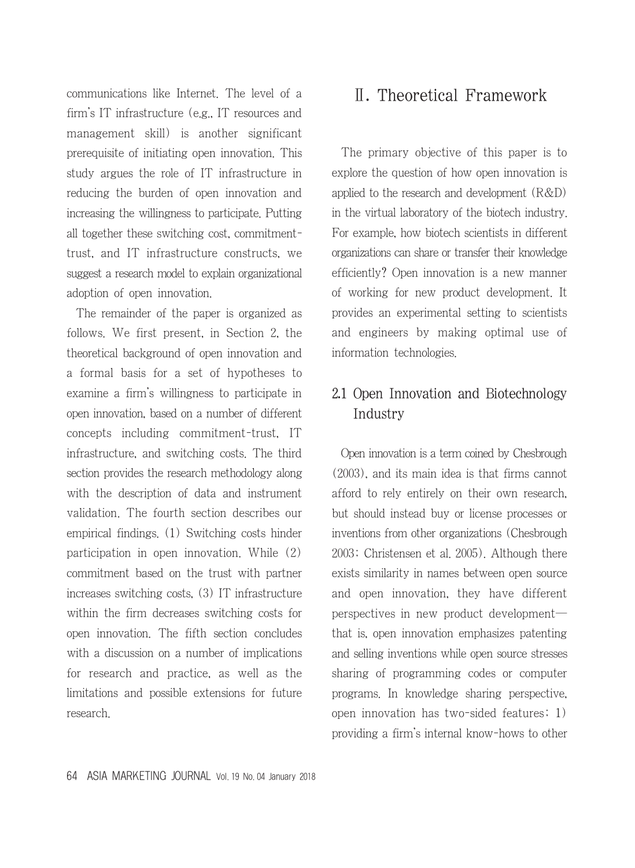communications like Internet. The level of a firm's IT infrastructure (e.g., IT resources and management skill) is another significant prerequisite of initiating open innovation. This study argues the role of IT infrastructure in reducing the burden of open innovation and increasing the willingness to participate. Putting all together these switching cost, commitmenttrust, and IT infrastructure constructs, we suggest a research model to explain organizational adoption of open innovation.

The remainder of the paper is organized as follows. We first present, in Section 2, the theoretical background of open innovation and a formal basis for a set of hypotheses to examine a firm's willingness to participate in open innovation, based on a number of different concepts including commitment-trust, IT infrastructure, and switching costs. The third section provides the research methodology along with the description of data and instrument validation. The fourth section describes our empirical findings. (1) Switching costs hinder participation in open innovation. While (2) commitment based on the trust with partner increases switching costs, (3) IT infrastructure within the firm decreases switching costs for open innovation. The fifth section concludes with a discussion on a number of implications for research and practice, as well as the limitations and possible extensions for future research.

# Ⅱ. Theoretical Framework

The primary objective of this paper is to explore the question of how open innovation is applied to the research and development (R&D) in the virtual laboratory of the biotech industry. For example, how biotech scientists in different organizations can share or transfer their knowledge efficiently? Open innovation is a new manner of working for new product development. It provides an experimental setting to scientists and engineers by making optimal use of information technologies.

# 2.1 Open Innovation and Biotechnology Industry

Open innovation is a term coined by Chesbrough (2003), and its main idea is that firms cannot afford to rely entirely on their own research, but should instead buy or license processes or inventions from other organizations (Chesbrough 2003; Christensen et al. 2005). Although there exists similarity in names between open source and open innovation, they have different perspectives in new product development― that is, open innovation emphasizes patenting and selling inventions while open source stresses sharing of programming codes or computer programs. In knowledge sharing perspective, open innovation has two-sided features; 1) providing a firm's internal know-hows to other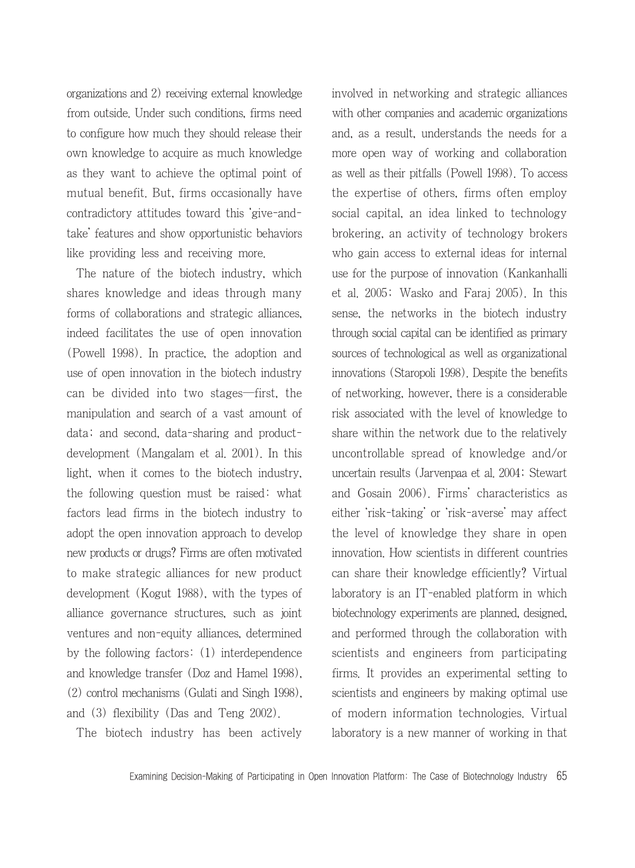organizations and 2) receiving external knowledge from outside. Under such conditions, firms need to configure how much they should release their own knowledge to acquire as much knowledge as they want to achieve the optimal point of mutual benefit. But, firms occasionally have contradictory attitudes toward this 'give-andtake' features and show opportunistic behaviors like providing less and receiving more.

The nature of the biotech industry, which shares knowledge and ideas through many forms of collaborations and strategic alliances, indeed facilitates the use of open innovation (Powell 1998). In practice, the adoption and use of open innovation in the biotech industry can be divided into two stages―first, the manipulation and search of a vast amount of data; and second, data-sharing and productdevelopment (Mangalam et al. 2001). In this light, when it comes to the biotech industry, the following question must be raised: what factors lead firms in the biotech industry to adopt the open innovation approach to develop new products or drugs? Firms are often motivated to make strategic alliances for new product development (Kogut 1988), with the types of alliance governance structures, such as joint ventures and non-equity alliances, determined by the following factors: (1) interdependence and knowledge transfer (Doz and Hamel 1998), (2) control mechanisms (Gulati and Singh 1998), and (3) flexibility (Das and Teng 2002).

The biotech industry has been actively

involved in networking and strategic alliances with other companies and academic organizations and, as a result, understands the needs for a more open way of working and collaboration as well as their pitfalls (Powell 1998). To access the expertise of others, firms often employ social capital, an idea linked to technology brokering, an activity of technology brokers who gain access to external ideas for internal use for the purpose of innovation (Kankanhalli et al. 2005; Wasko and Faraj 2005). In this sense, the networks in the biotech industry through social capital can be identified as primary sources of technological as well as organizational innovations (Staropoli 1998). Despite the benefits of networking, however, there is a considerable risk associated with the level of knowledge to share within the network due to the relatively uncontrollable spread of knowledge and/or uncertain results (Jarvenpaa et al. 2004; Stewart and Gosain 2006). Firms' characteristics as either 'risk-taking' or 'risk-averse' may affect the level of knowledge they share in open innovation. How scientists in different countries can share their knowledge efficiently? Virtual laboratory is an IT-enabled platform in which biotechnology experiments are planned, designed, and performed through the collaboration with scientists and engineers from participating firms. It provides an experimental setting to scientists and engineers by making optimal use of modern information technologies. Virtual laboratory is a new manner of working in that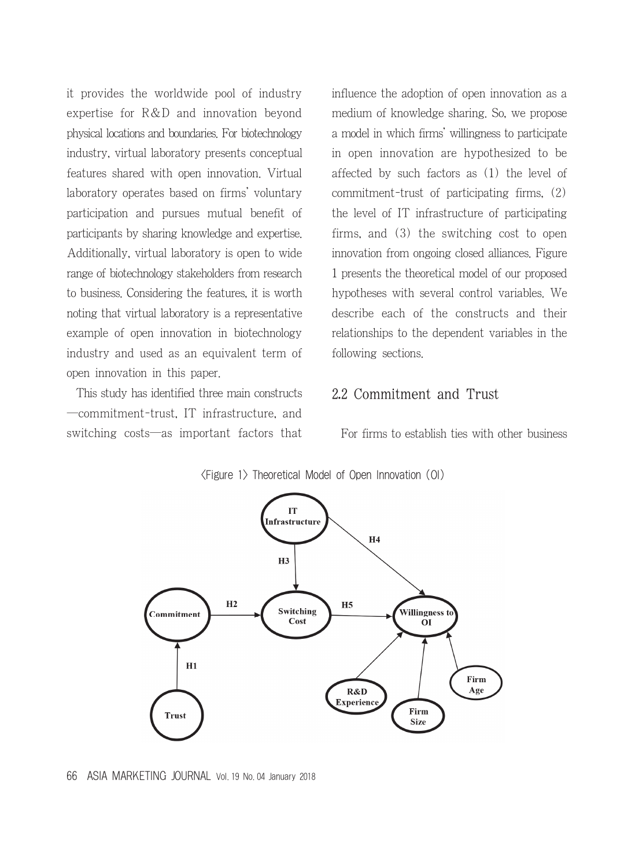it provides the worldwide pool of industry expertise for R&D and innovation beyond physical locations and boundaries. For biotechnology industry, virtual laboratory presents conceptual features shared with open innovation. Virtual laboratory operates based on firms' voluntary participation and pursues mutual benefit of participants by sharing knowledge and expertise. Additionally, virtual laboratory is open to wide range of biotechnology stakeholders from research to business. Considering the features, it is worth noting that virtual laboratory is a representative example of open innovation in biotechnology industry and used as an equivalent term of open innovation in this paper.

This study has identified three main constructs ―commitment-trust, IT infrastructure, and switching costs―as important factors that influence the adoption of open innovation as a medium of knowledge sharing. So, we propose a model in which firms' willingness to participate in open innovation are hypothesized to be affected by such factors as (1) the level of commitment-trust of participating firms, (2) the level of IT infrastructure of participating firms, and (3) the switching cost to open innovation from ongoing closed alliances. Figure 1 presents the theoretical model of our proposed hypotheses with several control variables. We describe each of the constructs and their relationships to the dependent variables in the following sections.

#### 2.2 Commitment and Trust

For firms to establish ties with other business



<Figure 1> Theoretical Model of Open Innovation (OI)

<sup>66</sup> ASIA MARKETING JOURNAL Vol. 19 No. 04 January 2018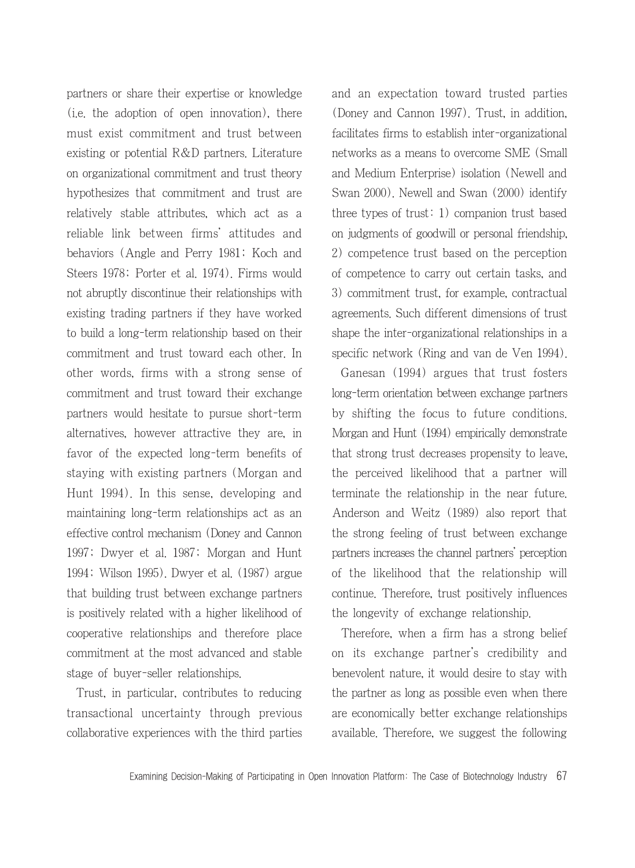partners or share their expertise or knowledge (i.e. the adoption of open innovation), there must exist commitment and trust between existing or potential R&D partners. Literature on organizational commitment and trust theory hypothesizes that commitment and trust are relatively stable attributes, which act as a reliable link between firms' attitudes and behaviors (Angle and Perry 1981; Koch and Steers 1978; Porter et al. 1974). Firms would not abruptly discontinue their relationships with existing trading partners if they have worked to build a long-term relationship based on their commitment and trust toward each other. In other words, firms with a strong sense of commitment and trust toward their exchange partners would hesitate to pursue short-term alternatives, however attractive they are, in favor of the expected long-term benefits of staying with existing partners (Morgan and Hunt 1994). In this sense, developing and maintaining long-term relationships act as an effective control mechanism (Doney and Cannon 1997; Dwyer et al. 1987; Morgan and Hunt 1994; Wilson 1995). Dwyer et al. (1987) argue that building trust between exchange partners is positively related with a higher likelihood of cooperative relationships and therefore place commitment at the most advanced and stable stage of buyer-seller relationships.

Trust, in particular, contributes to reducing transactional uncertainty through previous collaborative experiences with the third parties and an expectation toward trusted parties (Doney and Cannon 1997). Trust, in addition, facilitates firms to establish inter-organizational networks as a means to overcome SME (Small and Medium Enterprise) isolation (Newell and Swan 2000). Newell and Swan (2000) identify three types of trust: 1) companion trust based on judgments of goodwill or personal friendship, 2) competence trust based on the perception of competence to carry out certain tasks, and 3) commitment trust, for example, contractual agreements. Such different dimensions of trust shape the inter-organizational relationships in a specific network (Ring and van de Ven 1994).

Ganesan (1994) argues that trust fosters long-term orientation between exchange partners by shifting the focus to future conditions. Morgan and Hunt (1994) empirically demonstrate that strong trust decreases propensity to leave, the perceived likelihood that a partner will terminate the relationship in the near future. Anderson and Weitz (1989) also report that the strong feeling of trust between exchange partners increases the channel partners' perception of the likelihood that the relationship will continue. Therefore, trust positively influences the longevity of exchange relationship.

Therefore, when a firm has a strong belief on its exchange partner's credibility and benevolent nature, it would desire to stay with the partner as long as possible even when there are economically better exchange relationships available. Therefore, we suggest the following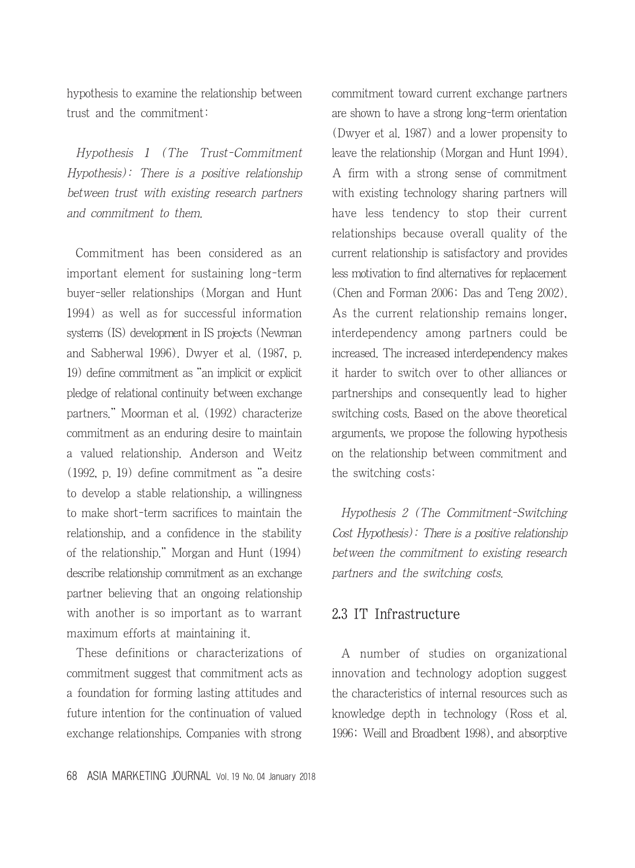hypothesis to examine the relationship between trust and the commitment:

Hypothesis 1 (The Trust-Commitment Hypothesis): There is a positive relationship between trust with existing research partners and commitment to them.

Commitment has been considered as an important element for sustaining long-term buyer-seller relationships (Morgan and Hunt 1994) as well as for successful information systems (IS) development in IS projects (Newman and Sabherwal 1996). Dwyer et al. (1987, p. 19) define commitment as "an implicit or explicit pledge of relational continuity between exchange partners." Moorman et al. (1992) characterize commitment as an enduring desire to maintain a valued relationship. Anderson and Weitz (1992, p. 19) define commitment as "a desire to develop a stable relationship, a willingness to make short-term sacrifices to maintain the relationship, and a confidence in the stability of the relationship." Morgan and Hunt (1994) describe relationship commitment as an exchange partner believing that an ongoing relationship with another is so important as to warrant maximum efforts at maintaining it.

These definitions or characterizations of commitment suggest that commitment acts as a foundation for forming lasting attitudes and future intention for the continuation of valued exchange relationships. Companies with strong commitment toward current exchange partners are shown to have a strong long-term orientation (Dwyer et al. 1987) and a lower propensity to leave the relationship (Morgan and Hunt 1994). A firm with a strong sense of commitment with existing technology sharing partners will have less tendency to stop their current relationships because overall quality of the current relationship is satisfactory and provides less motivation to find alternatives for replacement (Chen and Forman 2006; Das and Teng 2002). As the current relationship remains longer, interdependency among partners could be increased. The increased interdependency makes it harder to switch over to other alliances or partnerships and consequently lead to higher switching costs. Based on the above theoretical arguments, we propose the following hypothesis on the relationship between commitment and the switching costs:

Hypothesis 2 (The Commitment-Switching Cost Hypothesis): There is a positive relationship between the commitment to existing research partners and the switching costs.

## 2.3 IT Infrastructure

A number of studies on organizational innovation and technology adoption suggest the characteristics of internal resources such as knowledge depth in technology (Ross et al. 1996; Weill and Broadbent 1998), and absorptive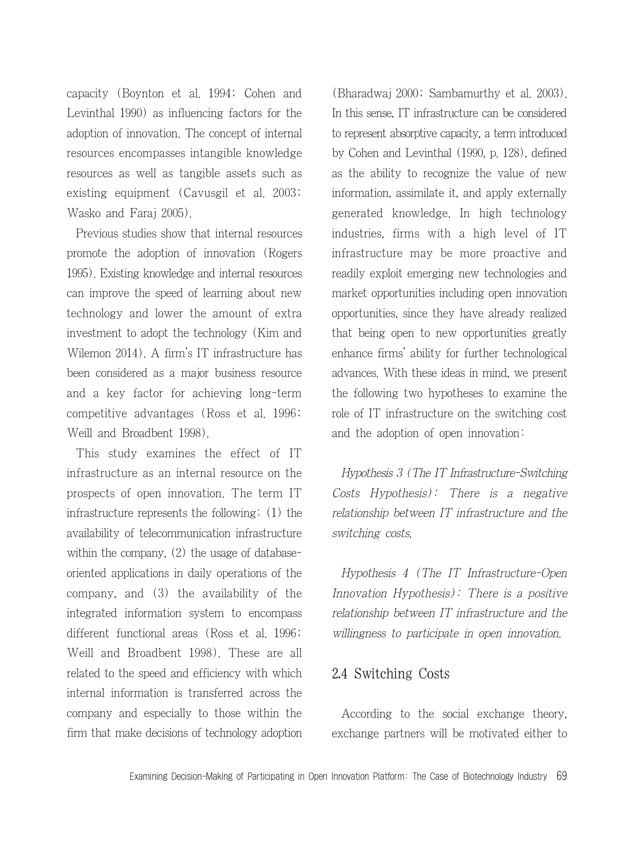capacity (Boynton et al. 1994; Cohen and Levinthal 1990) as influencing factors for the adoption of innovation. The concept of internal resources encompasses intangible knowledge resources as well as tangible assets such as existing equipment (Cavusgil et al. 2003; Wasko and Faraj 2005).

Previous studies show that internal resources promote the adoption of innovation (Rogers 1995). Existing knowledge and internal resources can improve the speed of learning about new technology and lower the amount of extra investment to adopt the technology (Kim and Wilemon 2014). A firm's IT infrastructure has been considered as a major business resource and a key factor for achieving long-term competitive advantages (Ross et al. 1996; Weill and Broadbent 1998).

This study examines the effect of IT infrastructure as an internal resource on the prospects of open innovation. The term IT infrastructure represents the following: (1) the availability of telecommunication infrastructure within the company, (2) the usage of databaseoriented applications in daily operations of the company, and (3) the availability of the integrated information system to encompass different functional areas (Ross et al. 1996; Weill and Broadbent 1998). These are all related to the speed and efficiency with which internal information is transferred across the company and especially to those within the firm that make decisions of technology adoption (Bharadwaj 2000; Sambamurthy et al. 2003). In this sense, IT infrastructure can be considered to represent absorptive capacity, a term introduced by Cohen and Levinthal (1990, p. 128), defined as the ability to recognize the value of new information, assimilate it, and apply externally generated knowledge. In high technology industries, firms with a high level of IT infrastructure may be more proactive and readily exploit emerging new technologies and market opportunities including open innovation opportunities, since they have already realized that being open to new opportunities greatly enhance firms' ability for further technological advances. With these ideas in mind, we present the following two hypotheses to examine the role of IT infrastructure on the switching cost and the adoption of open innovation:

Hypothesis 3 (The IT Infrastructure-Switching Costs Hypothesis): There is a negative relationship between IT infrastructure and the switching costs.

Hypothesis 4 (The IT Infrastructure-Open Innovation Hypothesis): There is a positive relationship between IT infrastructure and the willingness to participate in open innovation.

## 2.4 Switching Costs

According to the social exchange theory, exchange partners will be motivated either to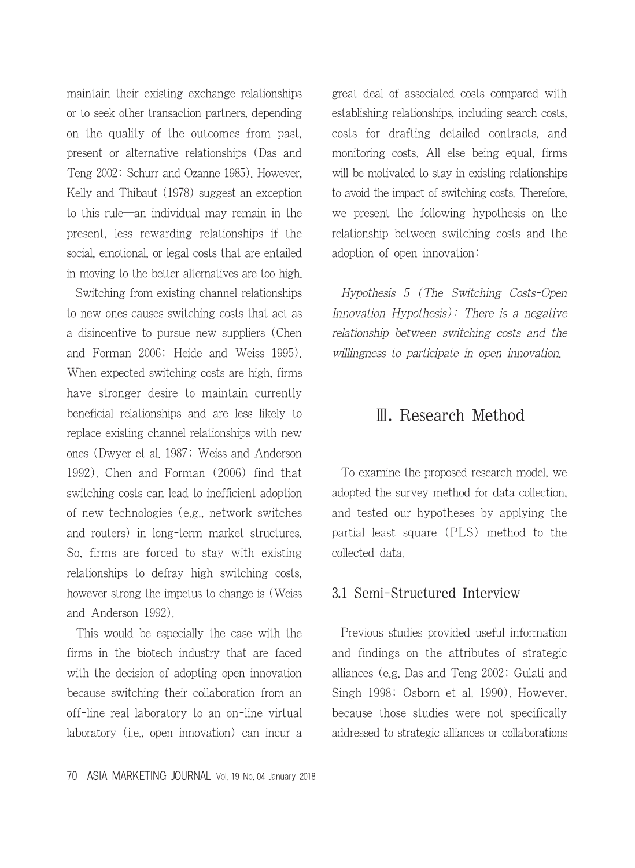maintain their existing exchange relationships or to seek other transaction partners, depending on the quality of the outcomes from past, present or alternative relationships (Das and Teng 2002; Schurr and Ozanne 1985). However, Kelly and Thibaut (1978) suggest an exception to this rule―an individual may remain in the present, less rewarding relationships if the social, emotional, or legal costs that are entailed in moving to the better alternatives are too high.

Switching from existing channel relationships to new ones causes switching costs that act as a disincentive to pursue new suppliers (Chen and Forman 2006; Heide and Weiss 1995). When expected switching costs are high, firms have stronger desire to maintain currently beneficial relationships and are less likely to replace existing channel relationships with new ones (Dwyer et al. 1987; Weiss and Anderson 1992). Chen and Forman (2006) find that switching costs can lead to inefficient adoption of new technologies (e.g., network switches and routers) in long-term market structures. So, firms are forced to stay with existing relationships to defray high switching costs, however strong the impetus to change is (Weiss and Anderson 1992).

This would be especially the case with the firms in the biotech industry that are faced with the decision of adopting open innovation because switching their collaboration from an off-line real laboratory to an on-line virtual laboratory (i.e., open innovation) can incur a great deal of associated costs compared with establishing relationships, including search costs, costs for drafting detailed contracts, and monitoring costs. All else being equal, firms will be motivated to stay in existing relationships to avoid the impact of switching costs. Therefore, we present the following hypothesis on the relationship between switching costs and the adoption of open innovation:

Hypothesis 5 (The Switching Costs-Open Innovation Hypothesis): There is a negative relationship between switching costs and the willingness to participate in open innovation.

## Ⅲ. Research Method

To examine the proposed research model, we adopted the survey method for data collection, and tested our hypotheses by applying the partial least square (PLS) method to the collected data.

#### 3.1 Semi-Structured Interview

Previous studies provided useful information and findings on the attributes of strategic alliances (e.g. Das and Teng 2002; Gulati and Singh 1998; Osborn et al. 1990). However, because those studies were not specifically addressed to strategic alliances or collaborations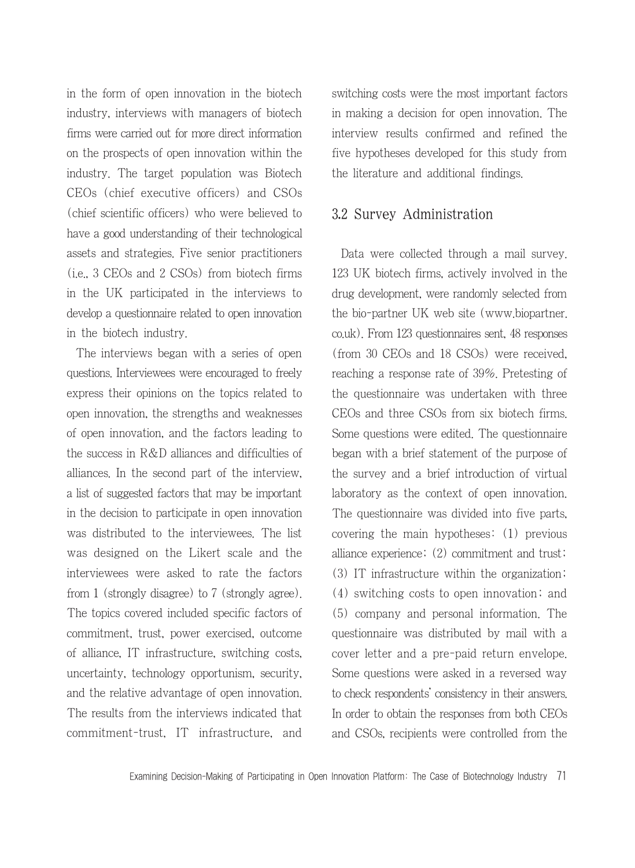in the form of open innovation in the biotech industry, interviews with managers of biotech firms were carried out for more direct information on the prospects of open innovation within the industry. The target population was Biotech CEOs (chief executive officers) and CSOs (chief scientific officers) who were believed to have a good understanding of their technological assets and strategies. Five senior practitioners (i.e., 3 CEOs and 2 CSOs) from biotech firms in the UK participated in the interviews to develop a questionnaire related to open innovation in the biotech industry.

The interviews began with a series of open questions. Interviewees were encouraged to freely express their opinions on the topics related to open innovation, the strengths and weaknesses of open innovation, and the factors leading to the success in R&D alliances and difficulties of alliances. In the second part of the interview, a list of suggested factors that may be important in the decision to participate in open innovation was distributed to the interviewees. The list was designed on the Likert scale and the interviewees were asked to rate the factors from 1 (strongly disagree) to 7 (strongly agree). The topics covered included specific factors of commitment, trust, power exercised, outcome of alliance, IT infrastructure, switching costs, uncertainty, technology opportunism, security, and the relative advantage of open innovation. The results from the interviews indicated that commitment-trust, IT infrastructure, and switching costs were the most important factors in making a decision for open innovation. The interview results confirmed and refined the five hypotheses developed for this study from the literature and additional findings.

### 3.2 Survey Administration

Data were collected through a mail survey. 123 UK biotech firms, actively involved in the drug development, were randomly selected from the bio-partner UK web site (www.biopartner. co.uk). From 123 questionnaires sent, 48 responses (from 30 CEOs and 18 CSOs) were received, reaching a response rate of 39%. Pretesting of the questionnaire was undertaken with three CEOs and three CSOs from six biotech firms. Some questions were edited. The questionnaire began with a brief statement of the purpose of the survey and a brief introduction of virtual laboratory as the context of open innovation. The questionnaire was divided into five parts, covering the main hypotheses: (1) previous alliance experience; (2) commitment and trust; (3) IT infrastructure within the organization; (4) switching costs to open innovation; and (5) company and personal information. The questionnaire was distributed by mail with a cover letter and a pre-paid return envelope. Some questions were asked in a reversed way to check respondents' consistency in their answers. In order to obtain the responses from both CEOs and CSOs, recipients were controlled from the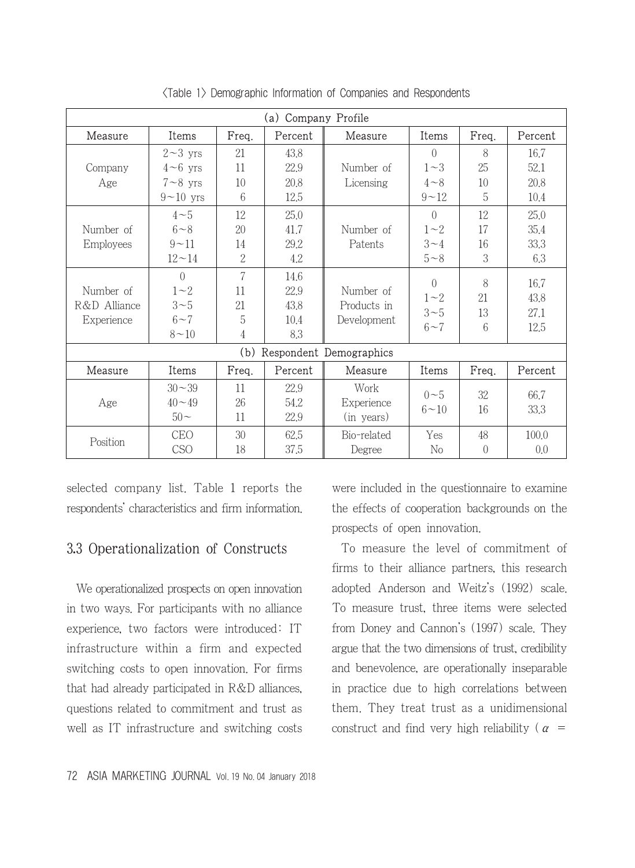| Company Profile<br>(a) |               |                |         |                         |               |                                             |              |
|------------------------|---------------|----------------|---------|-------------------------|---------------|---------------------------------------------|--------------|
| Measure                | Items         | Freq.          | Percent | Measure                 | Items         | Freq.                                       | Percent      |
|                        | $2 - 3$ yrs   | 21             | 43.8    |                         | $\Omega$      | 8                                           | 16.7         |
| Company                | $4\neg 6$ yrs | 11             | 22.9    | Number of               | $1\sim3$      | 25                                          | 52.1         |
| Age                    | $7 - 8$ yrs   | 10             | 20,8    | Licensing               | $4 \sim 8$    | 10                                          | 20,8         |
|                        | $9 - 10$ yrs  | 6              | 12.5    |                         | $9 - 12$      | 5                                           | 10.4         |
|                        | $4\sim5$      | 12             | 25.0    |                         | $\Omega$      | 12                                          | 25.0         |
| Number of              | $6 - 8$       | 20             | 41.7    | Number of               | $1\sim2$      | 17                                          | 35.4         |
| Employees              | $9 - 11$      | 14             | 29.2    | Patents                 | $3 - 4$       | 16                                          | 33,3         |
|                        | $12 - 14$     | $\overline{2}$ | 4.2     |                         | $5 - 8$       | 3                                           | 6.3          |
|                        | $\Omega$      | 7              | 14.6    |                         | $\Omega$      |                                             |              |
| Number of              | $1\sim2$      | 11             | 22.9    | Number of               |               | 8                                           | 16.7<br>43.8 |
| R&D Alliance           | $3\sim5$      | 21             | 43.8    | Products in             | $1\sim2$      |                                             |              |
| Experience             | $6 - 7$       | 5              | 10.4    | Development             | $3\sim5$      |                                             | 27.1         |
|                        | $8 - 10$      | 4              | 8.3     |                         | $6 - 7$       |                                             | 12.5         |
|                        |               | (b)            |         | Respondent Demographics |               |                                             |              |
| Measure                | Items         | Freq.          | Percent | Measure                 | Items         | Freq.                                       | Percent      |
|                        | $30 - 39$     | 11             | 22.9    | Work                    |               |                                             |              |
| Age                    | $40 - 49$     | 26             | 54.2    | Experience              | $0\sim 5$     |                                             | 66.7         |
|                        | $50-$         | 11             | 22.9    | (in years)              | $6\!\sim\!10$ | 21<br>13<br>6<br>32<br>16<br>48<br>$\theta$ | 33.3         |
|                        | <b>CEO</b>    | 30             | 62.5    | Bio-related             | Yes           |                                             | 100,0        |
| Position               | CSO           | 18             | 37.5    | Degree                  | No            |                                             | 0.0          |

<Table 1> Demographic Information of Companies and Respondents

selected company list. Table 1 reports the respondents' characteristics and firm information.

## 3.3 Operationalization of Constructs

We operationalized prospects on open innovation in two ways. For participants with no alliance experience, two factors were introduced: IT infrastructure within a firm and expected switching costs to open innovation. For firms that had already participated in R&D alliances, questions related to commitment and trust as well as IT infrastructure and switching costs were included in the questionnaire to examine the effects of cooperation backgrounds on the prospects of open innovation.

To measure the level of commitment of firms to their alliance partners, this research adopted Anderson and Weitz's (1992) scale. To measure trust, three items were selected from Doney and Cannon's (1997) scale. They argue that the two dimensions of trust, credibility and benevolence, are operationally inseparable in practice due to high correlations between them. They treat trust as a unidimensional construct and find very high reliability ( $\alpha$  =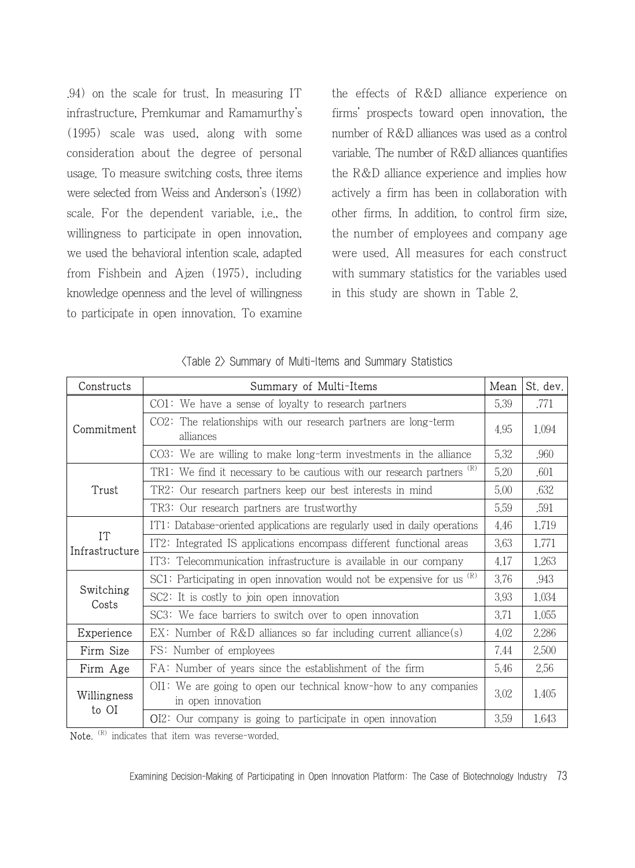.94) on the scale for trust. In measuring IT infrastructure, Premkumar and Ramamurthy's (1995) scale was used, along with some consideration about the degree of personal usage. To measure switching costs, three items were selected from Weiss and Anderson's (1992) scale. For the dependent variable, i.e., the willingness to participate in open innovation, we used the behavioral intention scale, adapted from Fishbein and Ajzen (1975), including knowledge openness and the level of willingness to participate in open innovation. To examine

the effects of R&D alliance experience on firms' prospects toward open innovation, the number of R&D alliances was used as a control variable. The number of R&D alliances quantifies the R&D alliance experience and implies how actively a firm has been in collaboration with other firms. In addition, to control firm size, the number of employees and company age were used. All measures for each construct with summary statistics for the variables used in this study are shown in Table 2.

| Constructs           | Summary of Multi-Items                                                                  | Mean | St. dev. |
|----------------------|-----------------------------------------------------------------------------------------|------|----------|
| Commitment           | $CO1:$ We have a sense of lovalty to research partners                                  | 5.39 | .771     |
|                      | $CO2$ : The relationships with our research partners are long-term<br>alliances         |      | 1.094    |
|                      | $CO3$ : We are willing to make long-term investments in the alliance                    | 5.32 | .960     |
|                      | TR1: We find it necessary to be cautious with our research partners $(R)$               | 5.20 | .601     |
| Trust                | TR2: Our research partners keep our best interests in mind                              | 5.00 | .632     |
|                      | TR3: Our research partners are trustworthy                                              | 5.59 | .591     |
|                      | IT1: Database-oriented applications are regularly used in daily operations              | 4.46 | 1.719    |
| IT<br>Infrastructure | IT2: Integrated IS applications encompass different functional areas                    | 3.63 | 1.771    |
|                      | IT3: Telecommunication infrastructure is available in our company                       | 4.17 | 1 263    |
|                      | SC1: Participating in open innovation would not be expensive for us $(R)$               | 3.76 | .943     |
| Switching<br>Costs   | SC2: It is costly to join open innovation                                               | 3.93 | 1.034    |
|                      | SC3: We face barriers to switch over to open innovation                                 | 3.71 | 1.055    |
| Experience           | $EX:$ Number of R&D alliances so far including current alliance(s)                      | 4.02 | 2.286    |
| Firm Size            | FS: Number of employees                                                                 | 7.44 | 2.500    |
| Firm Age             | FA: Number of years since the establishment of the firm                                 | 5.46 | 2.56     |
| Willingness          | OI1: We are going to open our technical know-how to any companies<br>in open innovation |      | 1.405    |
| to OI                | $OI2$ : Our company is going to participate in open innovation                          | 3.59 | 1.643    |

Note. <sup>(R)</sup> indicates that item was reverse-worded.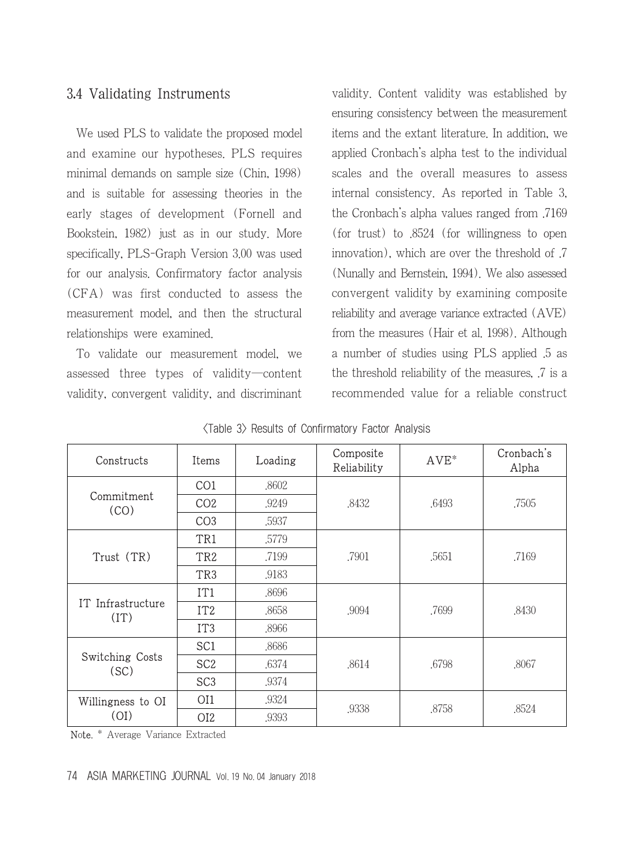## 3.4 Validating Instruments

We used PLS to validate the proposed model and examine our hypotheses. PLS requires minimal demands on sample size (Chin, 1998) and is suitable for assessing theories in the early stages of development (Fornell and Bookstein, 1982) just as in our study. More specifically, PLS-Graph Version 3.00 was used for our analysis. Confirmatory factor analysis (CFA) was first conducted to assess the measurement model, and then the structural relationships were examined.

To validate our measurement model, we assessed three types of validity―content validity, convergent validity, and discriminant validity. Content validity was established by ensuring consistency between the measurement items and the extant literature. In addition, we applied Cronbach's alpha test to the individual scales and the overall measures to assess internal consistency. As reported in Table 3, the Cronbach's alpha values ranged from .7169 (for trust) to .8524 (for willingness to open innovation), which are over the threshold of .7 (Nunally and Bernstein, 1994). We also assessed convergent validity by examining composite reliability and average variance extracted (AVE) from the measures (Hair et al. 1998). Although a number of studies using PLS applied .5 as the threshold reliability of the measures, .7 is a recommended value for a reliable construct

| Constructs                | Items           | Loading | Composite<br>Reliability | $AVE^*$ | Cronbach's<br>Alpha |
|---------------------------|-----------------|---------|--------------------------|---------|---------------------|
|                           | CO <sub>1</sub> | .8602   |                          | .6493   | .7505               |
| Commitment<br>(CO)        | CO <sub>2</sub> | .9249   | .8432                    |         |                     |
|                           | CO <sub>3</sub> | .5937   |                          |         |                     |
|                           | TR1             | .5779   |                          | .5651   | .7169               |
| Trust (TR)                | TR <sub>2</sub> | .7199   | .7901                    |         |                     |
|                           | TR <sub>3</sub> | .9183   |                          |         |                     |
|                           | IT1             | .8696   |                          | .7699   | .8430               |
| IT Infrastructure<br>(TT) | IT <sub>2</sub> | .8658   | .9094                    |         |                     |
|                           | IT <sub>3</sub> | .8966   |                          |         |                     |
|                           | SC <sub>1</sub> | .8686   |                          | .6798   | .8067               |
| Switching Costs<br>(SC)   | SC <sub>2</sub> | .6374   | .8614                    |         |                     |
|                           | SC <sub>3</sub> | .9374   |                          |         |                     |
| Willingness to OI         | OI1             | .9324   | .9338                    | .8758   |                     |
| (OI)                      | OI <sub>2</sub> | .9393   |                          |         | .8524               |

|  |  |  |  |  | <b>≺Table 3&gt; Results of Confirmatory Factor Analysis</b> |  |  |
|--|--|--|--|--|-------------------------------------------------------------|--|--|
|--|--|--|--|--|-------------------------------------------------------------|--|--|

Note. \* Average Variance Extracted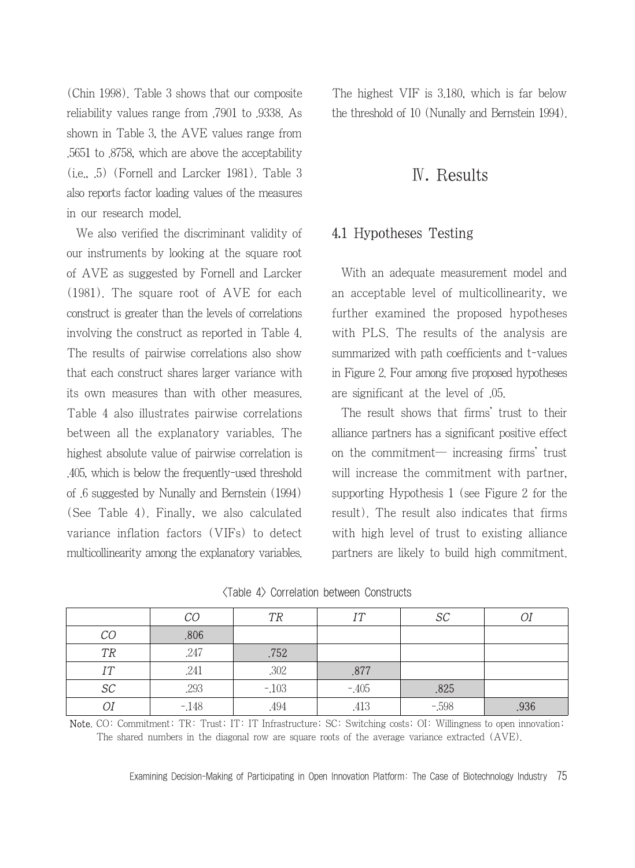(Chin 1998). Table 3 shows that our composite reliability values range from .7901 to .9338. As shown in Table 3, the AVE values range from .5651 to .8758, which are above the acceptability (i.e., .5) (Fornell and Larcker 1981). Table 3 also reports factor loading values of the measures in our research model.

We also verified the discriminant validity of our instruments by looking at the square root of AVE as suggested by Fornell and Larcker (1981). The square root of AVE for each construct is greater than the levels of correlations involving the construct as reported in Table 4. The results of pairwise correlations also show that each construct shares larger variance with its own measures than with other measures. Table 4 also illustrates pairwise correlations between all the explanatory variables. The highest absolute value of pairwise correlation is .405, which is below the frequently-used threshold of .6 suggested by Nunally and Bernstein (1994) (See Table 4). Finally, we also calculated variance inflation factors (VIFs) to detect multicollinearity among the explanatory variables. The highest VIF is 3.180, which is far below the threshold of 10 (Nunally and Bernstein 1994).

## Ⅳ. Results

#### 4.1 Hypotheses Testing

With an adequate measurement model and an acceptable level of multicollinearity, we further examined the proposed hypotheses with PLS. The results of the analysis are summarized with path coefficients and t-values in Figure 2. Four among five proposed hypotheses are significant at the level of .05.

The result shows that firms' trust to their alliance partners has a significant positive effect on the commitment― increasing firms' trust will increase the commitment with partner. supporting Hypothesis 1 (see Figure 2 for the result). The result also indicates that firms with high level of trust to existing alliance partners are likely to build high commitment.

|           | CO     | TR     | IТ     | SC       |      |
|-----------|--------|--------|--------|----------|------|
| CO        | .806   |        |        |          |      |
| <b>TR</b> | .247   | .752   |        |          |      |
| <b>IT</b> | .241   | .302   | .877   |          |      |
| $\cal SC$ | .293   | $-103$ | $-405$ | .825     |      |
| Οl        | $-148$ | .494   | .413   | $-0.598$ | .936 |

|  | <table 4=""> Correlation between Constructs</table> |  |
|--|-----------------------------------------------------|--|
|--|-----------------------------------------------------|--|

Note. CO: Commitment; TR: Trust; IT: IT Infrastructure; SC: Switching costs; OI: Willingness to open innovation; The shared numbers in the diagonal row are square roots of the average variance extracted (AVE).

Examining Decision-Making of Participating in Open Innovation Platform: The Case of Biotechnology Industry 75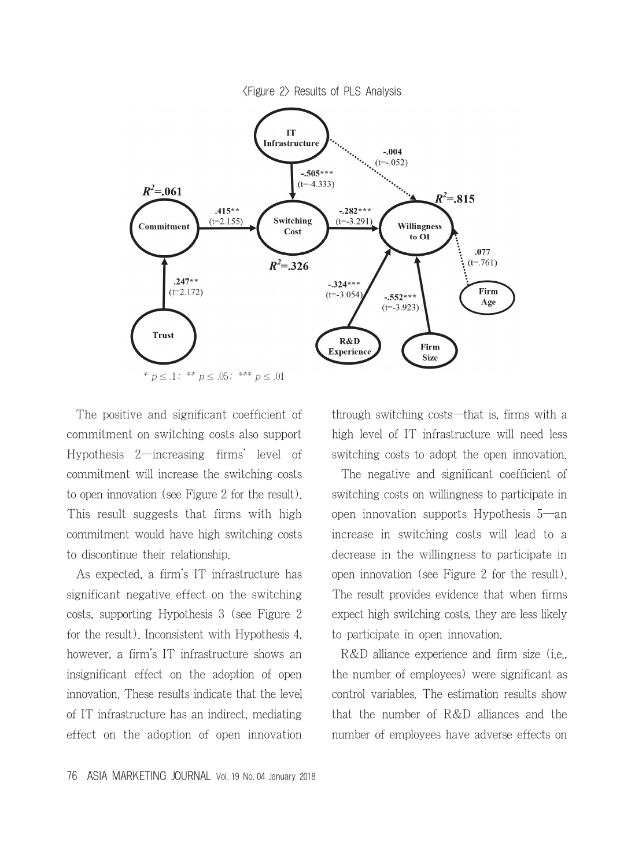<Figure 2> Results of PLS Analysis



The positive and significant coefficient of commitment on switching costs also support Hypothesis 2―increasing firms' level of commitment will increase the switching costs to open innovation (see Figure 2 for the result). This result suggests that firms with high commitment would have high switching costs to discontinue their relationship.

As expected, a firm's IT infrastructure has significant negative effect on the switching costs, supporting Hypothesis 3 (see Figure 2 for the result). Inconsistent with Hypothesis 4, however, a firm's IT infrastructure shows an insignificant effect on the adoption of open innovation. These results indicate that the level of IT infrastructure has an indirect, mediating effect on the adoption of open innovation

through switching costs―that is, firms with a high level of IT infrastructure will need less switching costs to adopt the open innovation.

The negative and significant coefficient of switching costs on willingness to participate in open innovation supports Hypothesis 5―an increase in switching costs will lead to a decrease in the willingness to participate in open innovation (see Figure 2 for the result). The result provides evidence that when firms expect high switching costs, they are less likely to participate in open innovation.

R&D alliance experience and firm size (i.e., the number of employees) were significant as control variables. The estimation results show that the number of R&D alliances and the number of employees have adverse effects on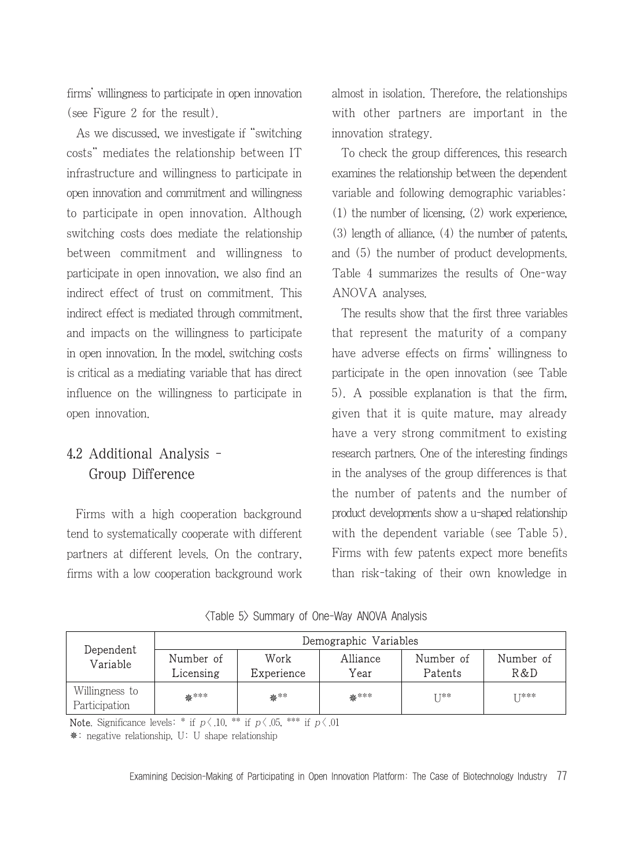firms' willingness to participate in open innovation (see Figure 2 for the result).

As we discussed, we investigate if "switching costs" mediates the relationship between IT infrastructure and willingness to participate in open innovation and commitment and willingness to participate in open innovation. Although switching costs does mediate the relationship between commitment and willingness to participate in open innovation, we also find an indirect effect of trust on commitment. This indirect effect is mediated through commitment, and impacts on the willingness to participate in open innovation. In the model, switching costs is critical as a mediating variable that has direct influence on the willingness to participate in open innovation.

# 4.2 Additional Analysis - Group Difference

Firms with a high cooperation background tend to systematically cooperate with different partners at different levels. On the contrary, firms with a low cooperation background work almost in isolation. Therefore, the relationships with other partners are important in the innovation strategy.

To check the group differences, this research examines the relationship between the dependent variable and following demographic variables: (1) the number of licensing, (2) work experience, (3) length of alliance, (4) the number of patents, and (5) the number of product developments. Table 4 summarizes the results of One-way ANOVA analyses.

The results show that the first three variables that represent the maturity of a company have adverse effects on firms' willingness to participate in the open innovation (see Table 5). A possible explanation is that the firm, given that it is quite mature, may already have a very strong commitment to existing research partners. One of the interesting findings in the analyses of the group differences is that the number of patents and the number of product developments show a u-shaped relationship with the dependent variable (see Table 5). Firms with few patents expect more benefits than risk-taking of their own knowledge in

|  |  | <table 5=""> Summary of One-Way ANOVA Analysis</table> |  |  |  |  |
|--|--|--------------------------------------------------------|--|--|--|--|
|--|--|--------------------------------------------------------|--|--|--|--|

| Dependent<br>Variable           | Demographic Variables  |                    |                  |                      |                  |  |
|---------------------------------|------------------------|--------------------|------------------|----------------------|------------------|--|
|                                 | Number of<br>Licensing | Work<br>Experience | Alliance<br>Year | Number of<br>Patents | Number of<br>R&D |  |
| Willingness to<br>Participation | ****                   | ***                | <del>盗</del> *** | T ⊺**                | T T***           |  |

**Note.** Significance levels: \* if  $p \langle .10, **$  if  $p \langle .05, ***$  if  $p \langle .01, ** \rangle$ 

: negative relationship, U: U shape relationship

Examining Decision-Making of Participating in Open Innovation Platform: The Case of Biotechnology Industry 77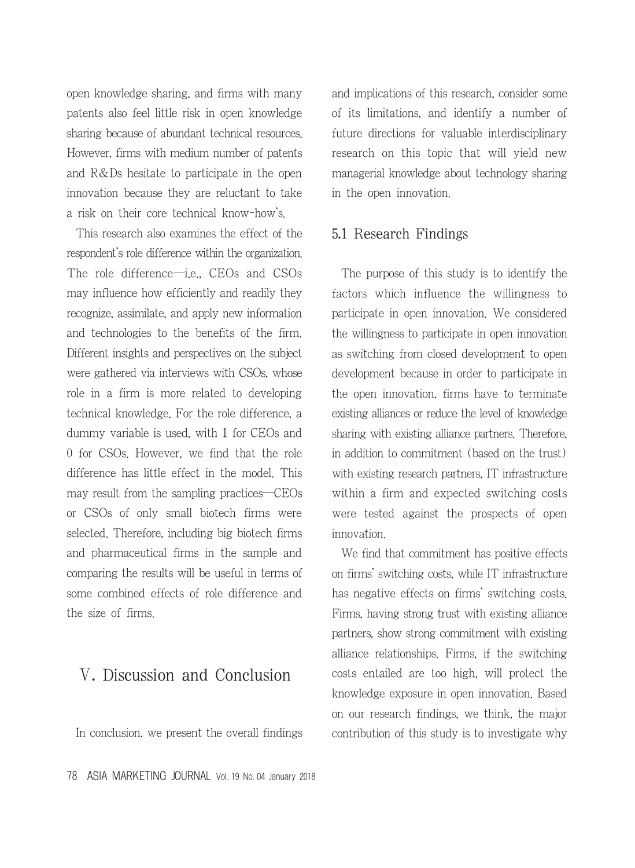open knowledge sharing, and firms with many patents also feel little risk in open knowledge sharing because of abundant technical resources. However, firms with medium number of patents and R&Ds hesitate to participate in the open innovation because they are reluctant to take a risk on their core technical know-how's.

This research also examines the effect of the respondent's role difference within the organization. The role difference—i.e., CEOs and CSOs may influence how efficiently and readily they recognize, assimilate, and apply new information and technologies to the benefits of the firm. Different insights and perspectives on the subject were gathered via interviews with CSOs, whose role in a firm is more related to developing technical knowledge. For the role difference, a dummy variable is used, with 1 for CEOs and 0 for CSOs. However, we find that the role difference has little effect in the model. This may result from the sampling practices―CEOs or CSOs of only small biotech firms were selected. Therefore, including big biotech firms and pharmaceutical firms in the sample and comparing the results will be useful in terms of some combined effects of role difference and the size of firms.

# Ⅴ. Discussion and Conclusion

In conclusion, we present the overall findings

and implications of this research, consider some of its limitations, and identify a number of future directions for valuable interdisciplinary research on this topic that will yield new managerial knowledge about technology sharing in the open innovation.

#### 5.1 Research Findings

The purpose of this study is to identify the factors which influence the willingness to participate in open innovation. We considered the willingness to participate in open innovation as switching from closed development to open development because in order to participate in the open innovation, firms have to terminate existing alliances or reduce the level of knowledge sharing with existing alliance partners. Therefore, in addition to commitment (based on the trust) with existing research partners, IT infrastructure within a firm and expected switching costs were tested against the prospects of open innovation.

We find that commitment has positive effects on firms' switching costs, while IT infrastructure has negative effects on firms' switching costs. Firms, having strong trust with existing alliance partners, show strong commitment with existing alliance relationships. Firms, if the switching costs entailed are too high, will protect the knowledge exposure in open innovation. Based on our research findings, we think, the major contribution of this study is to investigate why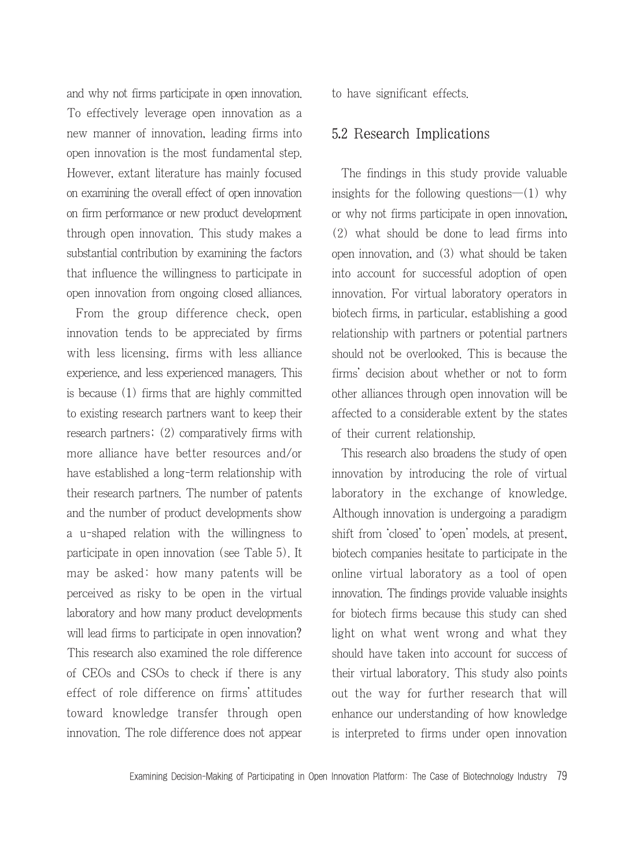and why not firms participate in open innovation. To effectively leverage open innovation as a new manner of innovation, leading firms into open innovation is the most fundamental step. However, extant literature has mainly focused on examining the overall effect of open innovation on firm performance or new product development through open innovation. This study makes a substantial contribution by examining the factors that influence the willingness to participate in open innovation from ongoing closed alliances.

From the group difference check, open innovation tends to be appreciated by firms with less licensing, firms with less alliance experience, and less experienced managers. This is because (1) firms that are highly committed to existing research partners want to keep their research partners; (2) comparatively firms with more alliance have better resources and/or have established a long-term relationship with their research partners. The number of patents and the number of product developments show a u-shaped relation with the willingness to participate in open innovation (see Table 5). It may be asked: how many patents will be perceived as risky to be open in the virtual laboratory and how many product developments will lead firms to participate in open innovation? This research also examined the role difference of CEOs and CSOs to check if there is any effect of role difference on firms' attitudes toward knowledge transfer through open innovation. The role difference does not appear to have significant effects.

#### 5.2 Research Implications

The findings in this study provide valuable insights for the following questions―(1) why or why not firms participate in open innovation, (2) what should be done to lead firms into open innovation, and (3) what should be taken into account for successful adoption of open innovation. For virtual laboratory operators in biotech firms, in particular, establishing a good relationship with partners or potential partners should not be overlooked. This is because the firms' decision about whether or not to form other alliances through open innovation will be affected to a considerable extent by the states of their current relationship.

This research also broadens the study of open innovation by introducing the role of virtual laboratory in the exchange of knowledge. Although innovation is undergoing a paradigm shift from 'closed' to 'open' models, at present, biotech companies hesitate to participate in the online virtual laboratory as a tool of open innovation. The findings provide valuable insights for biotech firms because this study can shed light on what went wrong and what they should have taken into account for success of their virtual laboratory. This study also points out the way for further research that will enhance our understanding of how knowledge is interpreted to firms under open innovation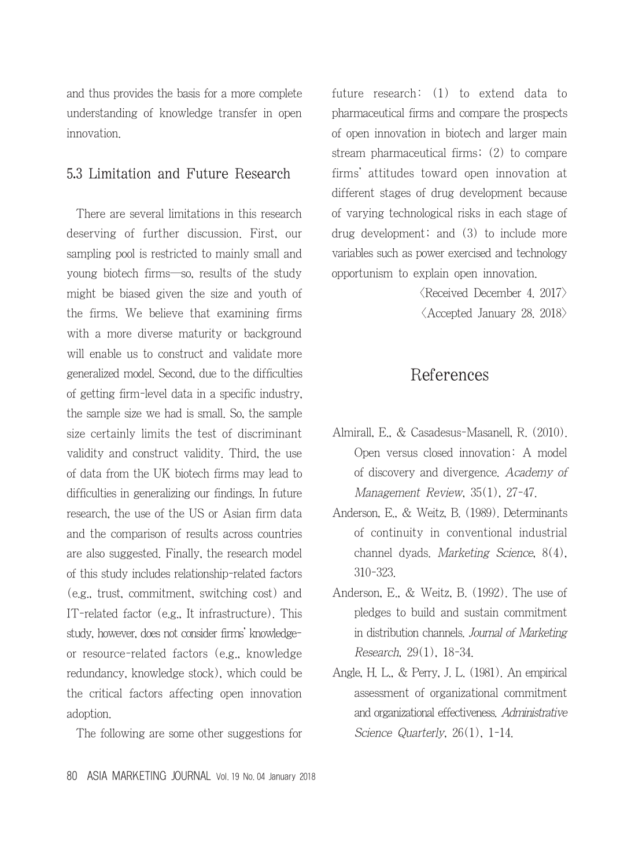and thus provides the basis for a more complete understanding of knowledge transfer in open innovation.

### 5.3 Limitation and Future Research

There are several limitations in this research deserving of further discussion. First, our sampling pool is restricted to mainly small and young biotech firms―so, results of the study might be biased given the size and youth of the firms. We believe that examining firms with a more diverse maturity or background will enable us to construct and validate more generalized model. Second, due to the difficulties of getting firm-level data in a specific industry, the sample size we had is small. So, the sample size certainly limits the test of discriminant validity and construct validity. Third, the use of data from the UK biotech firms may lead to difficulties in generalizing our findings. In future research, the use of the US or Asian firm data and the comparison of results across countries are also suggested. Finally, the research model of this study includes relationship-related factors (e.g., trust, commitment, switching cost) and IT-related factor (e.g., It infrastructure). This study, however, does not consider firms' knowledgeor resource-related factors (e.g., knowledge redundancy, knowledge stock), which could be the critical factors affecting open innovation adoption.

The following are some other suggestions for

future research: (1) to extend data to pharmaceutical firms and compare the prospects of open innovation in biotech and larger main stream pharmaceutical firms; (2) to compare firms' attitudes toward open innovation at different stages of drug development because of varying technological risks in each stage of drug development; and (3) to include more variables such as power exercised and technology opportunism to explain open innovation.

> $\langle$ Received December 4. 2017 $\rangle$ <Accepted January 28. 2018>

# References

- Almirall, E., & Casadesus-Masanell, R. (2010). Open versus closed innovation: A model of discovery and divergence. Academy of Management Review, 35(1), 27-47.
- Anderson, E., & Weitz, B. (1989). Determinants of continuity in conventional industrial channel dyads. Marketing Science, 8(4), 310-323.
- Anderson, E., & Weitz, B. (1992). The use of pledges to build and sustain commitment in distribution channels. Journal of Marketing Research, 29(1), 18-34.
- Angle, H. L., & Perry, J. L. (1981). An empirical assessment of organizational commitment and organizational effectiveness. Administrative Science Quarterly, 26(1), 1-14.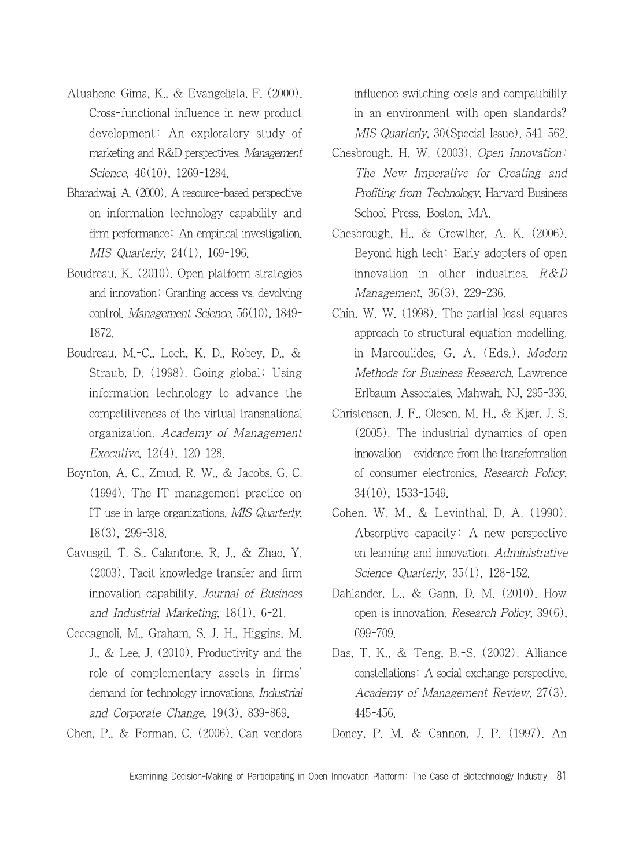- Atuahene-Gima, K., & Evangelista, F. (2000). Cross-functional influence in new product development: An exploratory study of marketing and R&D perspectives. Management Science, 46(10), 1269-1284.
- Bharadwaj, A. (2000). A resource-based perspective on information technology capability and firm performance: An empirical investigation. MIS Quarterly, 24(1), 169-196.
- Boudreau, K. (2010). Open platform strategies and innovation: Granting access vs. devolving control. Management Science, 56(10), 1849- 1872.
- Boudreau, M.-C., Loch, K. D., Robey, D., & Straub, D. (1998). Going global: Using information technology to advance the competitiveness of the virtual transnational organization. Academy of Management Executive, 12(4), 120-128.
- Boynton, A. C., Zmud, R. W., & Jacobs, G. C. (1994). The IT management practice on IT use in large organizations. MIS Quarterly, 18(3), 299-318.
- Cavusgil, T. S., Calantone, R. J., & Zhao, Y. (2003). Tacit knowledge transfer and firm innovation capability. Journal of Business and Industrial Marketing, 18(1), 6-21.
- Ceccagnoli, M., Graham, S. J. H., Higgins, M. J., & Lee, J. (2010). Productivity and the role of complementary assets in firms' demand for technology innovations. Industrial and Corporate Change, 19(3), 839-869.
- Chen, P., & Forman, C. (2006). Can vendors

influence switching costs and compatibility in an environment with open standards? MIS Quarterly, 30(Special Issue), 541-562.

- Chesbrough, H. W. (2003). Open Innovation: The New Imperative for Creating and Profiting from Technology, Harvard Business School Press, Boston, MA.
- Chesbrough, H., & Crowther, A. K. (2006). Beyond high tech: Early adopters of open innovation in other industries. R&D Management, 36(3), 229-236.
- Chin, W. W. (1998). The partial least squares approach to structural equation modelling. in Marcoulides, G. A. (Eds.), Modern Methods for Business Research, Lawrence Erlbaum Associates, Mahwah, NJ, 295-336.
- Christensen, J. F., Olesen, M. H., & Kjær, J. S. (2005). The industrial dynamics of open innovation - evidence from the transformation of consumer electronics. Research Policy, 34(10), 1533-1549.
- Cohen, W. M., & Levinthal, D. A. (1990). Absorptive capacity: A new perspective on learning and innovation. Administrative Science Quarterly, 35(1), 128-152.
- Dahlander, L., & Gann, D. M. (2010). How open is innovation. Research Policy, 39(6), 699-709.
- Das, T. K., & Teng, B.-S. (2002). Alliance constellations: A social exchange perspective. Academy of Management Review, 27(3), 445-456.
- Doney, P. M. & Cannon, J. P. (1997). An

Examining Decision-Making of Participating in Open Innovation Platform: The Case of Biotechnology Industry 81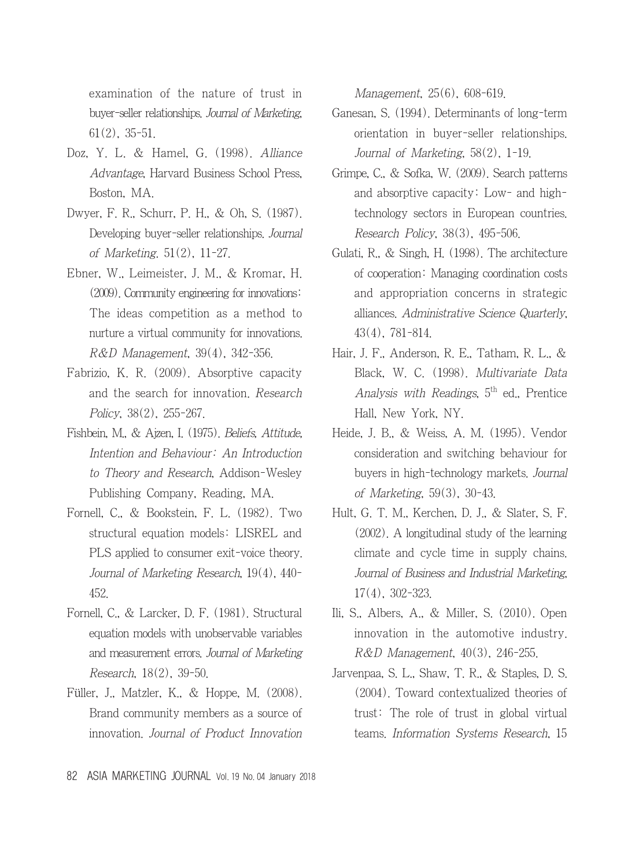examination of the nature of trust in buyer-seller relationships. Journal of Marketing, 61(2), 35-51.

- Doz, Y. L. & Hamel, G. (1998). Alliance Advantage, Harvard Business School Press, Boston, MA.
- Dwyer, F. R., Schurr, P. H., & Oh, S. (1987). Developing buyer-seller relationships. Journal of Marketing. 51(2), 11-27.
- Ebner, W., Leimeister, J. M., & Kromar, H. (2009). Community engineering for innovations: The ideas competition as a method to nurture a virtual community for innovations. R&D Management, 39(4), 342-356.
- Fabrizio, K. R. (2009). Absorptive capacity and the search for innovation. Research Policy, 38(2), 255-267.
- Fishbein, M., & Ajzen, I. (1975). Beliefs, Attitude, Intention and Behaviour: An Introduction to Theory and Research, Addison-Wesley Publishing Company, Reading, MA.
- Fornell, C., & Bookstein, F. L. (1982). Two structural equation models: LISREL and PLS applied to consumer exit-voice theory. Journal of Marketing Research, 19(4), 440- 452.
- Fornell, C., & Larcker, D. F. (1981). Structural equation models with unobservable variables and measurement errors. Journal of Marketing Research, 18(2), 39-50.
- Füller, J., Matzler, K., & Hoppe, M. (2008). Brand community members as a source of innovation. Journal of Product Innovation

Management, 25(6), 608-619.

- Ganesan, S. (1994). Determinants of long-term orientation in buyer-seller relationships. Journal of Marketing, 58(2), 1-19.
- Grimpe, C., & Sofka, W. (2009). Search patterns and absorptive capacity: Low- and hightechnology sectors in European countries. Research Policy, 38(3), 495-506.
- Gulati, R., & Singh, H. (1998). The architecture of cooperation: Managing coordination costs and appropriation concerns in strategic alliances. Administrative Science Quarterly, 43(4), 781-814.
- Hair, J. F., Anderson, R. E., Tatham, R. L., & Black, W. C. (1998). Multivariate Data Analysis with Readings,  $5<sup>th</sup>$  ed., Prentice Hall, New York, NY.
- Heide, J. B., & Weiss, A. M. (1995). Vendor consideration and switching behaviour for buyers in high-technology markets. Journal of Marketing, 59(3), 30-43.
- Hult, G. T. M., Kerchen, D. J., & Slater, S. F. (2002). A longitudinal study of the learning climate and cycle time in supply chains. Journal of Business and Industrial Marketing, 17(4), 302-323.
- Ili, S., Albers, A., & Miller, S. (2010). Open innovation in the automotive industry. R&D Management, 40(3), 246-255.
- Jarvenpaa, S. L., Shaw, T. R., & Staples, D. S. (2004). Toward contextualized theories of trust: The role of trust in global virtual teams. Information Systems Research, 15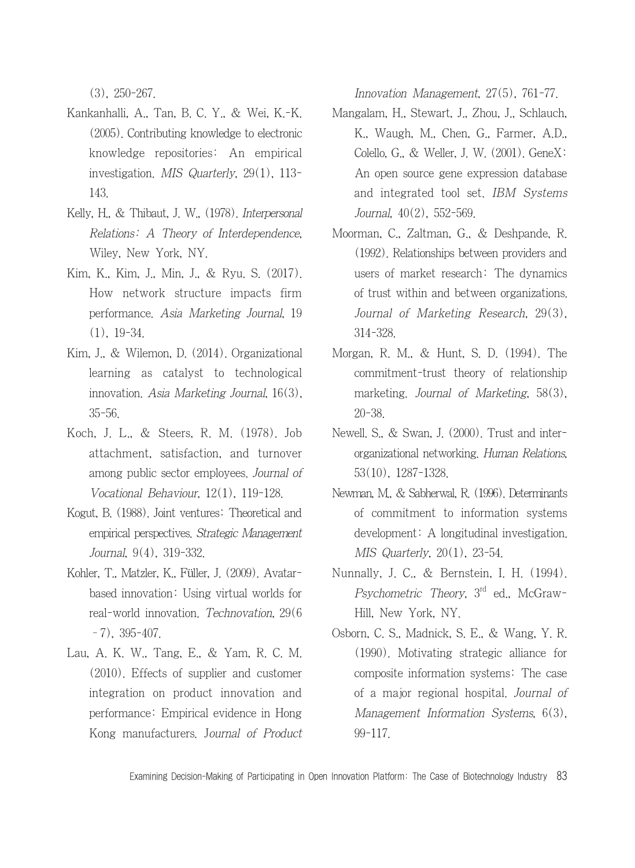(3), 250-267.

- Kankanhalli, A., Tan, B. C. Y., & Wei, K.-K. (2005). Contributing knowledge to electronic knowledge repositories: An empirical investigation. MIS Quarterly, 29(1), 113- 143.
- Kelly, H., & Thibaut, J. W., (1978). Interpersonal Relations: A Theory of Interdependence, Wiley, New York, NY.
- Kim, K., Kim, J., Min, J., & Ryu. S. (2017). How network structure impacts firm performance. Asia Marketing Journal, 19 (1), 19-34.
- Kim, J., & Wilemon, D. (2014). Organizational learning as catalyst to technological innovation. Asia Marketing Journal, 16(3), 35-56.
- Koch, J. L., & Steers, R. M. (1978). Job attachment, satisfaction, and turnover among public sector employees. Journal of Vocational Behaviour, 12(1), 119-128.
- Kogut, B. (1988). Joint ventures: Theoretical and empirical perspectives. Strategic Management Journal, 9(4), 319-332.
- Kohler, T., Matzler, K., Füller, J. (2009). Avatarbased innovation: Using virtual worlds for real-world innovation. Technovation, 29(6 –7), 395-407.
- Lau, A. K. W., Tang, E., & Yam, R. C. M. (2010). Effects of supplier and customer integration on product innovation and performance: Empirical evidence in Hong Kong manufacturers. Journal of Product

Innovation Management, 27(5), 761-77.

- Mangalam, H., Stewart, J., Zhou, J., Schlauch, K., Waugh, M., Chen, G., Farmer, A.D., Colello, G., & Weller, J. W. (2001). GeneX: An open source gene expression database and integrated tool set. IBM Systems Journal, 40(2), 552-569.
- Moorman, C., Zaltman, G., & Deshpande, R. (1992). Relationships between providers and users of market research: The dynamics of trust within and between organizations. Journal of Marketing Research, 29(3), 314-328.
- Morgan, R. M., & Hunt, S. D. (1994). The commitment-trust theory of relationship marketing. Journal of Marketing, 58(3), 20-38.
- Newell. S., & Swan, J. (2000). Trust and interorganizational networking. Human Relations, 53(10), 1287-1328.
- Newman, M., & Sabherwal, R. (1996). Determinants of commitment to information systems development: A longitudinal investigation. MIS Quarterly, 20(1), 23-54.
- Nunnally, J. C., & Bernstein, I. H. (1994). Psychometric Theory, 3<sup>rd</sup> ed., McGraw-Hill, New York, NY.
- Osborn, C. S., Madnick, S. E., & Wang, Y. R. (1990). Motivating strategic alliance for composite information systems: The case of a major regional hospital. Journal of Management Information Systems, 6(3), 99-117.

Examining Decision-Making of Participating in Open Innovation Platform: The Case of Biotechnology Industry 83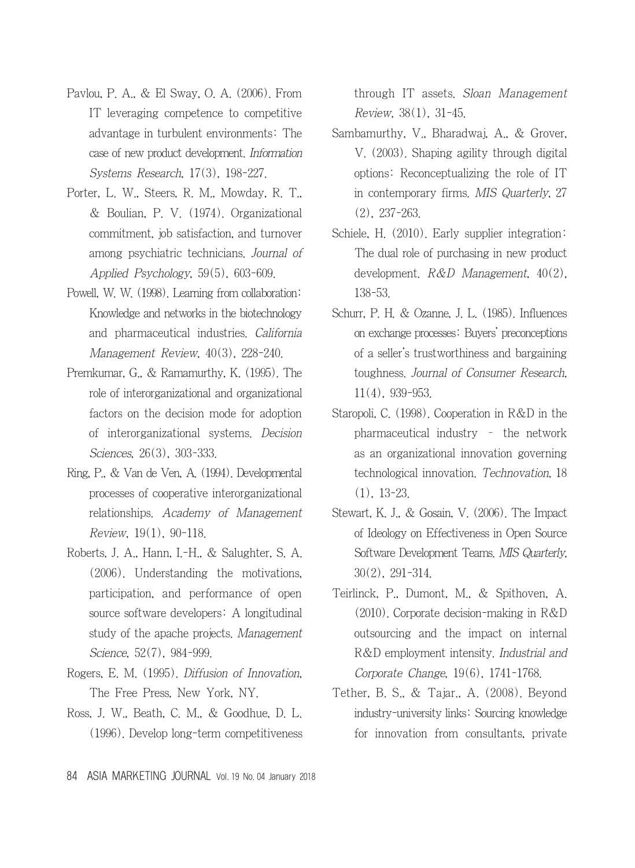- Pavlou, P. A., & El Sway, O. A. (2006). From IT leveraging competence to competitive advantage in turbulent environments: The case of new product development. Information Systems Research, 17(3), 198-227.
- Porter, L. W., Steers, R. M., Mowday, R. T., & Boulian, P. V. (1974). Organizational commitment, job satisfaction, and turnover among psychiatric technicians. Journal of Applied Psychology, 59(5), 603-609.
- Powell, W. W. (1998). Learning from collaboration: Knowledge and networks in the biotechnology and pharmaceutical industries. California Management Review, 40(3), 228-240.
- Premkumar, G., & Ramamurthy, K. (1995). The role of interorganizational and organizational factors on the decision mode for adoption of interorganizational systems. Decision Sciences, 26(3), 303-333.
- Ring, P., & Van de Ven, A. (1994). Developmental processes of cooperative interorganizational relationships. Academy of Management Review, 19(1), 90-118.
- Roberts, J. A., Hann, I.-H., & Salughter, S. A. (2006). Understanding the motivations, participation, and performance of open source software developers: A longitudinal study of the apache projects. Management Science, 52(7), 984-999.
- Rogers, E. M. (1995). Diffusion of Innovation, The Free Press, New York, NY.
- Ross, J. W., Beath, C. M., & Goodhue, D. L. (1996). Develop long-term competitiveness

through IT assets. Sloan Management Review, 38(1), 31-45.

- Sambamurthy, V., Bharadwaj, A., & Grover, V. (2003). Shaping agility through digital options: Reconceptualizing the role of IT in contemporary firms. MIS Quarterly, 27 (2), 237-263.
- Schiele, H. (2010). Early supplier integration: The dual role of purchasing in new product development. R&D Management, 40(2), 138-53.
- Schurr, P. H. & Ozanne, J. L. (1985). Influences on exchange processes: Buyers' preconceptions of a seller's trustworthiness and bargaining toughness. Journal of Consumer Research, 11(4), 939-953.
- Staropoli, C. (1998). Cooperation in R&D in the pharmaceutical industry – the network as an organizational innovation governing technological innovation. Technovation, 18 (1), 13-23.
- Stewart, K. J., & Gosain, V. (2006). The Impact of Ideology on Effectiveness in Open Source Software Development Teams. MIS Quarterly, 30(2), 291-314.
- Teirlinck, P., Dumont, M., & Spithoven, A. (2010). Corporate decision-making in R&D outsourcing and the impact on internal R&D employment intensity. Industrial and Corporate Change, 19(6), 1741-1768.
- Tether, B. S., & Tajar., A. (2008). Beyond industry-university links: Sourcing knowledge for innovation from consultants, private